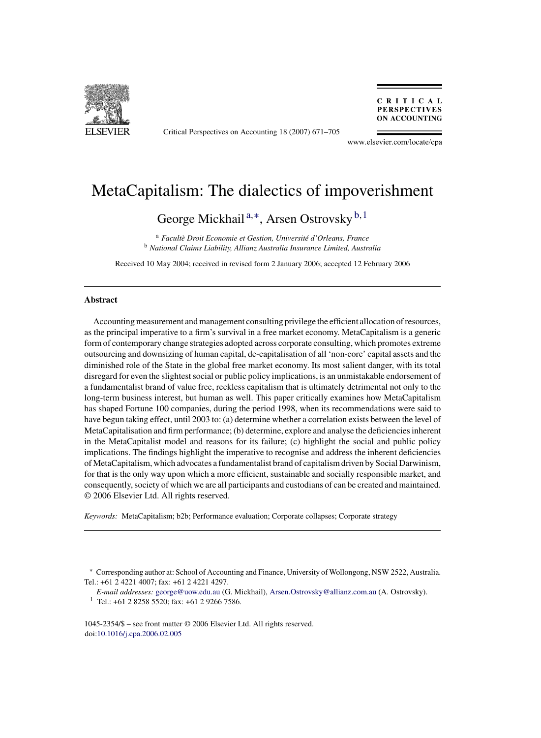

Critical Perspectives on Accounting 18 (2007) 671–705

CRITICAL **PERSPECTIVES ON ACCOUNTING** 

www.elsevier.com/locate/cpa

## MetaCapitalism: The dialectics of impoverishment

George Mickhail<sup>a,∗</sup>, Arsen Ostrovsky<sup>b,1</sup>

<sup>a</sup> Facultè Droit Economie et Gestion, Université d'Orleans, France <sup>b</sup> *National Claims Liability, Allianz Australia Insurance Limited, Australia*

Received 10 May 2004; received in revised form 2 January 2006; accepted 12 February 2006

## **Abstract**

Accounting measurement and management consulting privilege the efficient allocation of resources, as the principal imperative to a firm's survival in a free market economy. MetaCapitalism is a generic form of contemporary change strategies adopted across corporate consulting, which promotes extreme outsourcing and downsizing of human capital, de-capitalisation of all 'non-core' capital assets and the diminished role of the State in the global free market economy. Its most salient danger, with its total disregard for even the slightest social or public policy implications, is an unmistakable endorsement of a fundamentalist brand of value free, reckless capitalism that is ultimately detrimental not only to the long-term business interest, but human as well. This paper critically examines how MetaCapitalism has shaped Fortune 100 companies, during the period 1998, when its recommendations were said to have begun taking effect, until 2003 to: (a) determine whether a correlation exists between the level of MetaCapitalisation and firm performance; (b) determine, explore and analyse the deficiencies inherent in the MetaCapitalist model and reasons for its failure; (c) highlight the social and public policy implications. The findings highlight the imperative to recognise and address the inherent deficiencies of MetaCapitalism, which advocates a fundamentalist brand of capitalism driven by Social Darwinism, for that is the only way upon which a more efficient, sustainable and socially responsible market, and consequently, society of which we are all participants and custodians of can be created and maintained. © 2006 Elsevier Ltd. All rights reserved.

*Keywords:* MetaCapitalism; b2b; Performance evaluation; Corporate collapses; Corporate strategy

<sup>∗</sup> Corresponding author at: School of Accounting and Finance, University of Wollongong, NSW 2522, Australia. Tel.: +61 2 4221 4007; fax: +61 2 4221 4297.

*E-mail addresses:* [george@uow.edu.au](mailto:george@uow.edu.au) (G. Mickhail), [Arsen.Ostrovsky@allianz.com.au](mailto:Arsen.Ostrovsky@allianz.com.au) (A. Ostrovsky).

 $1$  Tel.: +61 2 8258 5520; fax: +61 2 9266 7586.

<sup>1045-2354/\$ –</sup> see front matter © 2006 Elsevier Ltd. All rights reserved. doi:[10.1016/j.cpa.2006.02.005](dx.doi.org/10.1016/j.cpa.2006.02.005)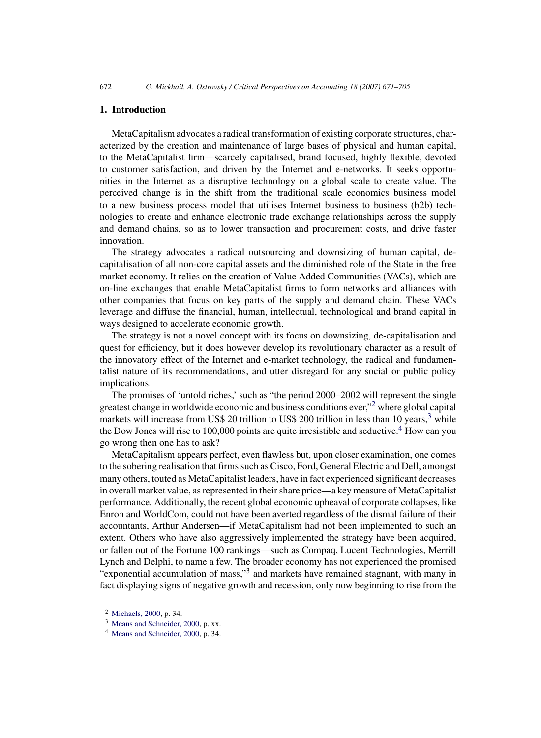## **1. Introduction**

MetaCapitalism advocates a radical transformation of existing corporate structures, characterized by the creation and maintenance of large bases of physical and human capital, to the MetaCapitalist firm—scarcely capitalised, brand focused, highly flexible, devoted to customer satisfaction, and driven by the Internet and e-networks. It seeks opportunities in the Internet as a disruptive technology on a global scale to create value. The perceived change is in the shift from the traditional scale economics business model to a new business process model that utilises Internet business to business (b2b) technologies to create and enhance electronic trade exchange relationships across the supply and demand chains, so as to lower transaction and procurement costs, and drive faster innovation.

The strategy advocates a radical outsourcing and downsizing of human capital, decapitalisation of all non-core capital assets and the diminished role of the State in the free market economy. It relies on the creation of Value Added Communities (VACs), which are on-line exchanges that enable MetaCapitalist firms to form networks and alliances with other companies that focus on key parts of the supply and demand chain. These VACs leverage and diffuse the financial, human, intellectual, technological and brand capital in ways designed to accelerate economic growth.

The strategy is not a novel concept with its focus on downsizing, de-capitalisation and quest for efficiency, but it does however develop its revolutionary character as a result of the innovatory effect of the Internet and e-market technology, the radical and fundamentalist nature of its recommendations, and utter disregard for any social or public policy implications.

The promises of 'untold riches,' such as "the period 2000–2002 will represent the single greatest change in worldwide economic and business conditions ever,"<sup>2</sup> where global capital markets will increase from US\$ 20 trillion to US\$ 200 trillion in less than 10 years,<sup>3</sup> while the Dow Jones will rise to 100,000 points are quite irresistible and seductive.<sup>4</sup> How can you go wrong then one has to ask?

MetaCapitalism appears perfect, even flawless but, upon closer examination, one comes to the sobering realisation that firms such as Cisco, Ford, General Electric and Dell, amongst many others, touted as MetaCapitalist leaders, have in fact experienced significant decreases in overall market value, as represented in their share price—a key measure of MetaCapitalist performance. Additionally, the recent global economic upheaval of corporate collapses, like Enron and WorldCom, could not have been averted regardless of the dismal failure of their accountants, Arthur Andersen—if MetaCapitalism had not been implemented to such an extent. Others who have also aggressively implemented the strategy have been acquired, or fallen out of the Fortune 100 rankings—such as Compaq, Lucent Technologies, Merrill Lynch and Delphi, to name a few. The broader economy has not experienced the promised "exponential accumulation of mass,"<sup>3</sup> and markets have remained stagnant, with many in fact displaying signs of negative growth and recession, only now beginning to rise from the

<sup>2</sup> [Michaels, 2000, p](#page--1-0). 34.

<sup>&</sup>lt;sup>3</sup> [Means and Schneider, 2000, p](#page--1-0). xx.

<sup>4</sup> [Means and Schneider, 2000, p](#page--1-0). 34.